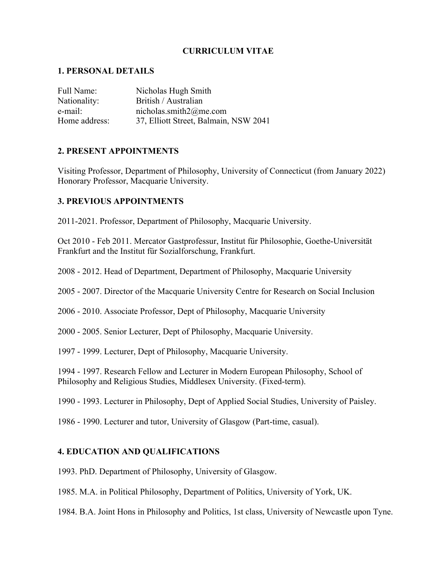# **CURRICULUM VITAE**

## **1. PERSONAL DETAILS**

| Full Name:    | Nicholas Hugh Smith                   |
|---------------|---------------------------------------|
| Nationality:  | British / Australian                  |
| e-mail:       | nicholas.smith $2@$ me.com            |
| Home address: | 37, Elliott Street, Balmain, NSW 2041 |

# **2. PRESENT APPOINTMENTS**

Visiting Professor, Department of Philosophy, University of Connecticut (from January 2022) Honorary Professor, Macquarie University.

# **3. PREVIOUS APPOINTMENTS**

2011-2021. Professor, Department of Philosophy, Macquarie University.

Oct 2010 - Feb 2011. Mercator Gastprofessur, Institut für Philosophie, Goethe-Universität Frankfurt and the Institut für Sozialforschung, Frankfurt.

2008 - 2012. Head of Department, Department of Philosophy, Macquarie University

2005 - 2007. Director of the Macquarie University Centre for Research on Social Inclusion

2006 - 2010. Associate Professor, Dept of Philosophy, Macquarie University

2000 - 2005. Senior Lecturer, Dept of Philosophy, Macquarie University.

1997 - 1999. Lecturer, Dept of Philosophy, Macquarie University.

1994 - 1997. Research Fellow and Lecturer in Modern European Philosophy, School of Philosophy and Religious Studies, Middlesex University. (Fixed-term).

1990 - 1993. Lecturer in Philosophy, Dept of Applied Social Studies, University of Paisley.

1986 - 1990. Lecturer and tutor, University of Glasgow (Part-time, casual).

# **4. EDUCATION AND QUALIFICATIONS**

1993. PhD. Department of Philosophy, University of Glasgow.

1985. M.A. in Political Philosophy, Department of Politics, University of York, UK.

1984. B.A. Joint Hons in Philosophy and Politics, 1st class, University of Newcastle upon Tyne.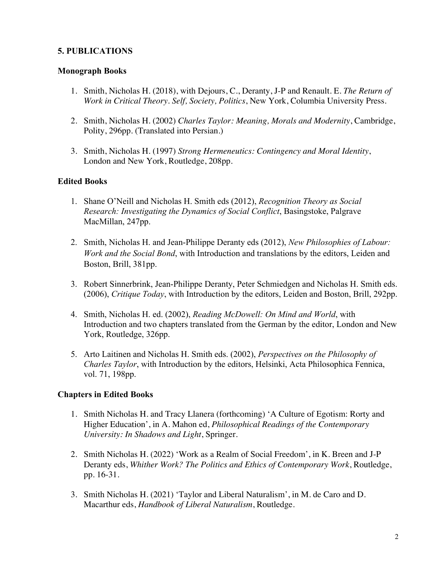# **5. PUBLICATIONS**

## **Monograph Books**

- 1. Smith, Nicholas H. (2018), with Dejours, C., Deranty, J-P and Renault. E. *The Return of Work in Critical Theory. Self, Society, Politics*, New York, Columbia University Press.
- 2. Smith, Nicholas H. (2002) *Charles Taylor: Meaning, Morals and Modernity*, Cambridge, Polity, 296pp. (Translated into Persian.)
- 3. Smith, Nicholas H. (1997) *Strong Hermeneutics: Contingency and Moral Identity*, London and New York, Routledge, 208pp.

# **Edited Books**

- 1. Shane O'Neill and Nicholas H. Smith eds (2012), *Recognition Theory as Social Research: Investigating the Dynamics of Social Conflict*, Basingstoke, Palgrave MacMillan, 247pp.
- 2. Smith, Nicholas H. and Jean-Philippe Deranty eds (2012), *New Philosophies of Labour: Work and the Social Bond*, with Introduction and translations by the editors, Leiden and Boston, Brill, 381pp.
- 3. Robert Sinnerbrink, Jean-Philippe Deranty, Peter Schmiedgen and Nicholas H. Smith eds. (2006), *Critique Today*, with Introduction by the editors, Leiden and Boston, Brill, 292pp.
- 4. Smith, Nicholas H. ed. (2002), *Reading McDowell: On Mind and World*, with Introduction and two chapters translated from the German by the editor, London and New York, Routledge, 326pp.
- 5. Arto Laitinen and Nicholas H. Smith eds. (2002), *Perspectives on the Philosophy of Charles Taylor*, with Introduction by the editors, Helsinki, Acta Philosophica Fennica, vol. 71, 198pp.

# **Chapters in Edited Books**

- 1. Smith Nicholas H. and Tracy Llanera (forthcoming) 'A Culture of Egotism: Rorty and Higher Education', in A. Mahon ed, *Philosophical Readings of the Contemporary University: In Shadows and Light*, Springer.
- 2. Smith Nicholas H. (2022) 'Work as a Realm of Social Freedom', in K. Breen and J-P Deranty eds, *Whither Work? The Politics and Ethics of Contemporary Work*, Routledge, pp. 16-31.
- 3. Smith Nicholas H. (2021) 'Taylor and Liberal Naturalism', in M. de Caro and D. Macarthur eds, *Handbook of Liberal Naturalism*, Routledge.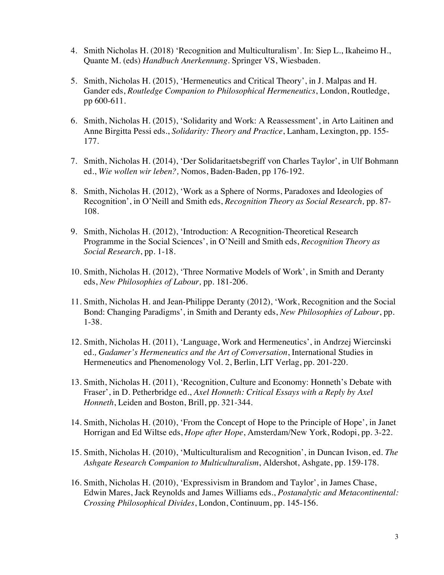- 4. Smith Nicholas H. (2018) 'Recognition and Multiculturalism'. In: Siep L., Ikaheimo H., Quante M. (eds) *Handbuch Anerkennung*. Springer VS, Wiesbaden.
- 5. Smith, Nicholas H. (2015), 'Hermeneutics and Critical Theory', in J. Malpas and H. Gander eds, *Routledge Companion to Philosophical Hermeneutics*, London, Routledge, pp 600-611.
- 6. Smith, Nicholas H. (2015), 'Solidarity and Work: A Reassessment', in Arto Laitinen and Anne Birgitta Pessi eds., *Solidarity: Theory and Practice*, Lanham, Lexington, pp. 155- 177.
- 7. Smith, Nicholas H. (2014), 'Der Solidaritaetsbegriff von Charles Taylor', in Ulf Bohmann ed., *Wie wollen wir leben?,* Nomos, Baden-Baden, pp 176-192.
- 8. Smith, Nicholas H. (2012), 'Work as a Sphere of Norms, Paradoxes and Ideologies of Recognition', in O'Neill and Smith eds, *Recognition Theory as Social Research,* pp. 87- 108.
- 9. Smith, Nicholas H. (2012), 'Introduction: A Recognition-Theoretical Research Programme in the Social Sciences', in O'Neill and Smith eds, *Recognition Theory as Social Research*, pp. 1-18.
- 10. Smith, Nicholas H. (2012), 'Three Normative Models of Work', in Smith and Deranty eds, *New Philosophies of Labour,* pp. 181-206.
- 11. Smith, Nicholas H. and Jean-Philippe Deranty (2012), 'Work, Recognition and the Social Bond: Changing Paradigms', in Smith and Deranty eds, *New Philosophies of Labour*, pp. 1-38.
- 12. Smith, Nicholas H. (2011), 'Language, Work and Hermeneutics', in Andrzej Wiercinski ed.*, Gadamer's Hermeneutics and the Art of Conversation*, International Studies in Hermeneutics and Phenomenology Vol. 2, Berlin, LIT Verlag, pp. 201-220.
- 13. Smith, Nicholas H. (2011), 'Recognition, Culture and Economy: Honneth's Debate with Fraser', in D. Petherbridge ed., *Axel Honneth: Critical Essays with a Reply by Axel Honneth*, Leiden and Boston, Brill, pp. 321-344.
- 14. Smith, Nicholas H. (2010), 'From the Concept of Hope to the Principle of Hope', in Janet Horrigan and Ed Wiltse eds, *Hope after Hope*, Amsterdam/New York, Rodopi, pp. 3-22.
- 15. Smith, Nicholas H. (2010), 'Multiculturalism and Recognition', in Duncan Ivison, ed. *The Ashgate Research Companion to Multiculturalism*, Aldershot, Ashgate, pp. 159-178.
- 16. Smith, Nicholas H. (2010), 'Expressivism in Brandom and Taylor', in James Chase, Edwin Mares, Jack Reynolds and James Williams eds., *Postanalytic and Metacontinental: Crossing Philosophical Divides*, London, Continuum, pp. 145-156.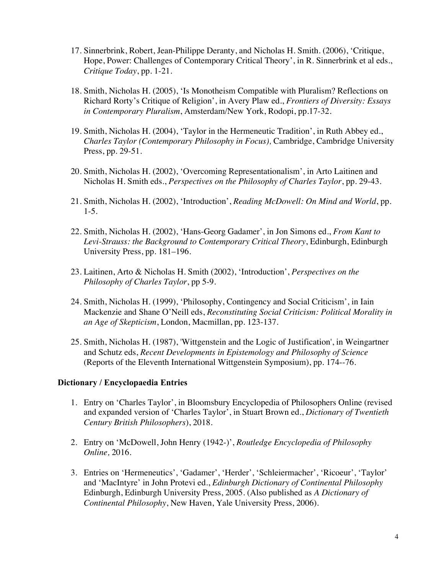- 17. Sinnerbrink, Robert, Jean-Philippe Deranty, and Nicholas H. Smith. (2006), 'Critique, Hope, Power: Challenges of Contemporary Critical Theory', in R. Sinnerbrink et al eds., *Critique Today*, pp. 1-21.
- 18. Smith, Nicholas H. (2005), 'Is Monotheism Compatible with Pluralism? Reflections on Richard Rorty's Critique of Religion', in Avery Plaw ed., *Frontiers of Diversity: Essays in Contemporary Pluralism*, Amsterdam/New York, Rodopi, pp.17-32.
- 19. Smith, Nicholas H. (2004), 'Taylor in the Hermeneutic Tradition', in Ruth Abbey ed., *Charles Taylor (Contemporary Philosophy in Focus),* Cambridge, Cambridge University Press, pp. 29-51.
- 20. Smith, Nicholas H. (2002), 'Overcoming Representationalism', in Arto Laitinen and Nicholas H. Smith eds., *Perspectives on the Philosophy of Charles Taylor*, pp. 29-43.
- 21. Smith, Nicholas H. (2002), 'Introduction', *Reading McDowell: On Mind and World*, pp. 1-5.
- 22. Smith, Nicholas H. (2002), 'Hans-Georg Gadamer', in Jon Simons ed., *From Kant to Levi-Strauss: the Background to Contemporary Critical Theory*, Edinburgh, Edinburgh University Press, pp. 181–196.
- 23. Laitinen, Arto & Nicholas H. Smith (2002), 'Introduction', *Perspectives on the Philosophy of Charles Taylor*, pp 5-9.
- 24. Smith, Nicholas H. (1999), 'Philosophy, Contingency and Social Criticism', in Iain Mackenzie and Shane O'Neill eds, *Reconstituting Social Criticism: Political Morality in an Age of Skepticism*, London, Macmillan, pp. 123-137.
- 25. Smith, Nicholas H. (1987), 'Wittgenstein and the Logic of Justification', in Weingartner and Schutz eds, *Recent Developments in Epistemology and Philosophy of Science*  (Reports of the Eleventh International Wittgenstein Symposium), pp. 174--76.

## **Dictionary / Encyclopaedia Entries**

- 1. Entry on 'Charles Taylor', in Bloomsbury Encyclopedia of Philosophers Online (revised and expanded version of 'Charles Taylor', in Stuart Brown ed., *Dictionary of Twentieth Century British Philosophers*), 2018.
- 2. Entry on 'McDowell, John Henry (1942-)', *Routledge Encyclopedia of Philosophy Online,* 2016.
- 3. Entries on 'Hermeneutics', 'Gadamer', 'Herder', 'Schleiermacher', 'Ricoeur', 'Taylor' and 'MacIntyre' in John Protevi ed., *Edinburgh Dictionary of Continental Philosophy* Edinburgh, Edinburgh University Press, 2005. (Also published as *A Dictionary of Continental Philosophy*, New Haven, Yale University Press, 2006).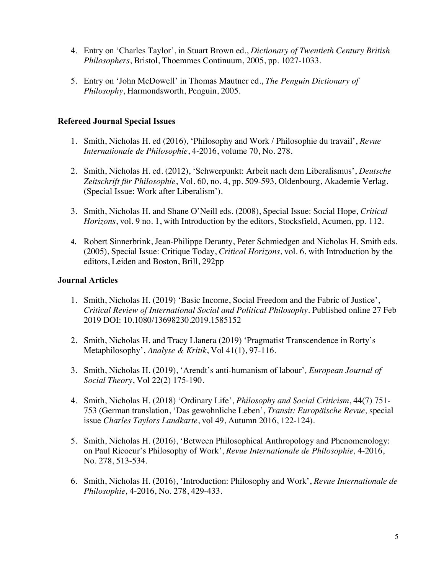- 4. Entry on 'Charles Taylor', in Stuart Brown ed., *Dictionary of Twentieth Century British Philosophers*, Bristol, Thoemmes Continuum, 2005, pp. 1027-1033.
- 5. Entry on 'John McDowell' in Thomas Mautner ed., *The Penguin Dictionary of Philosophy*, Harmondsworth, Penguin, 2005.

# **Refereed Journal Special Issues**

- 1. Smith, Nicholas H. ed (2016), 'Philosophy and Work / Philosophie du travail', *Revue Internationale de Philosophie*, 4-2016, volume 70, No. 278.
- 2. Smith, Nicholas H. ed. (2012), 'Schwerpunkt: Arbeit nach dem Liberalismus', *Deutsche Zeitschrift für Philosophie*, Vol. 60, no. 4, pp. 509-593, Oldenbourg, Akademie Verlag. (Special Issue: Work after Liberalism').
- 3. Smith, Nicholas H. and Shane O'Neill eds. (2008), Special Issue: Social Hope, *Critical Horizons*, vol. 9 no. 1, with Introduction by the editors, Stocksfield, Acumen, pp. 112.
- **4.** Robert Sinnerbrink, Jean-Philippe Deranty, Peter Schmiedgen and Nicholas H. Smith eds. (2005), Special Issue: Critique Today, *Critical Horizons*, vol. 6, with Introduction by the editors, Leiden and Boston, Brill, 292pp

# **Journal Articles**

- 1. Smith, Nicholas H. (2019) 'Basic Income, Social Freedom and the Fabric of Justice', *Critical Review of International Social and Political Philosophy*. Published online 27 Feb 2019 DOI: 10.1080/13698230.2019.1585152
- 2. Smith, Nicholas H. and Tracy Llanera (2019) 'Pragmatist Transcendence in Rorty's Metaphilosophy', *Analyse & Kritik*, Vol 41(1), 97-116.
- 3. Smith, Nicholas H. (2019), 'Arendt's anti-humanism of labour'*, European Journal of Social Theory*, Vol 22(2) 175-190.
- 4. Smith, Nicholas H. (2018) 'Ordinary Life', *Philosophy and Social Criticism*, 44(7) 751- 753 (German translation, 'Das gewohnliche Leben', *Transit: Europäische Revue,* special issue *Charles Taylors Landkarte*, vol 49, Autumn 2016, 122-124).
- 5. Smith, Nicholas H. (2016), 'Between Philosophical Anthropology and Phenomenology: on Paul Ricoeur's Philosophy of Work', *Revue Internationale de Philosophie,* 4-2016, No. 278, 513-534.
- 6. Smith, Nicholas H. (2016), 'Introduction: Philosophy and Work', *Revue Internationale de Philosophie,* 4-2016, No. 278, 429-433.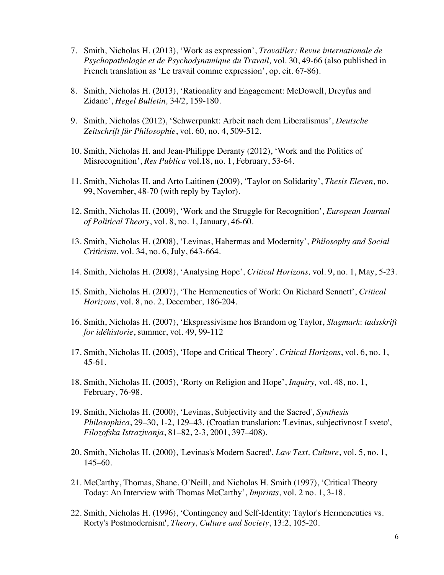- 7. Smith, Nicholas H. (2013), 'Work as expression', *Travailler: Revue internationale de Psychopathologie et de Psychodynamique du Travail,* vol. 30, 49-66 (also published in French translation as 'Le travail comme expression', op. cit. 67-86).
- 8. Smith, Nicholas H. (2013), 'Rationality and Engagement: McDowell, Dreyfus and Zidane', *Hegel Bulletin,* 34/2, 159-180.
- 9. Smith, Nicholas (2012), 'Schwerpunkt: Arbeit nach dem Liberalismus', *Deutsche Zeitschrift für Philosophie*, vol. 60, no. 4, 509-512.
- 10. Smith, Nicholas H. and Jean-Philippe Deranty (2012), 'Work and the Politics of Misrecognition', *Res Publica* vol.18, no. 1, February, 53-64.
- 11. Smith, Nicholas H. and Arto Laitinen (2009), 'Taylor on Solidarity', *Thesis Eleven*, no. 99, November, 48-70 (with reply by Taylor).
- 12. Smith, Nicholas H. (2009), 'Work and the Struggle for Recognition', *European Journal of Political Theory*, vol. 8, no. 1, January, 46-60.
- 13. Smith, Nicholas H. (2008), 'Levinas, Habermas and Modernity', *Philosophy and Social Criticism*, vol. 34, no. 6, July, 643-664.
- 14. Smith, Nicholas H. (2008), 'Analysing Hope', *Critical Horizons,* vol. 9, no. 1, May, 5-23.
- 15. Smith, Nicholas H. (2007), 'The Hermeneutics of Work: On Richard Sennett', *Critical Horizons*, vol. 8, no. 2, December, 186-204.
- 16. Smith, Nicholas H. (2007), 'Ekspressivisme hos Brandom og Taylor, *Slagmark*: *tadsskrift for idéhistorie*, summer, vol. 49, 99-112
- 17. Smith, Nicholas H. (2005), 'Hope and Critical Theory', *Critical Horizons*, vol. 6, no. 1, 45-61.
- 18. Smith, Nicholas H. (2005), 'Rorty on Religion and Hope', *Inquiry,* vol. 48, no. 1, February, 76-98.
- 19. Smith, Nicholas H. (2000), 'Levinas, Subjectivity and the Sacred', *Synthesis Philosophica*, 29–30, 1-2, 129–43. (Croatian translation: 'Levinas, subjectivnost I sveto', *Filozofska Istrazivanja*, 81–82, 2-3, 2001, 397–408).
- 20. Smith, Nicholas H. (2000), 'Levinas's Modern Sacred', *Law Text, Culture*, vol. 5, no. 1, 145–60.
- 21. McCarthy, Thomas, Shane. O'Neill, and Nicholas H. Smith (1997), 'Critical Theory Today: An Interview with Thomas McCarthy', *Imprints*, vol. 2 no. 1, 3-18.
- 22. Smith, Nicholas H. (1996), 'Contingency and Self-Identity: Taylor's Hermeneutics vs. Rorty's Postmodernism', *Theory, Culture and Society*, 13:2, 105-20.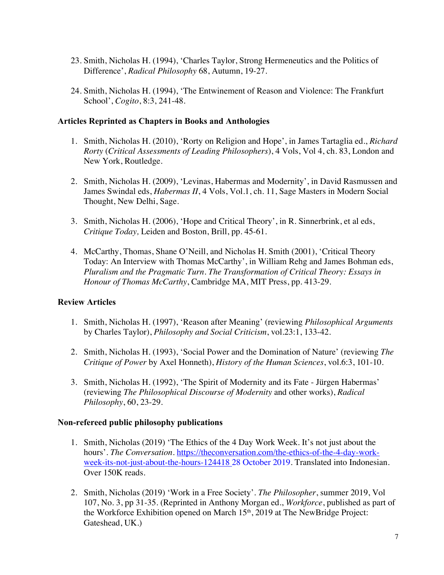- 23. Smith, Nicholas H. (1994), 'Charles Taylor, Strong Hermeneutics and the Politics of Difference', *Radical Philosophy* 68, Autumn, 19-27.
- 24. Smith, Nicholas H. (1994), 'The Entwinement of Reason and Violence: The Frankfurt School', *Cogito*, 8:3, 241-48.

## **Articles Reprinted as Chapters in Books and Anthologies**

- 1. Smith, Nicholas H. (2010), 'Rorty on Religion and Hope', in James Tartaglia ed., *Richard Rorty* (*Critical Assessments of Leading Philosophers*), 4 Vols, Vol 4, ch. 83, London and New York, Routledge.
- 2. Smith, Nicholas H. (2009), 'Levinas, Habermas and Modernity', in David Rasmussen and James Swindal eds, *Habermas II*, 4 Vols, Vol.1, ch. 11, Sage Masters in Modern Social Thought, New Delhi, Sage.
- 3. Smith, Nicholas H. (2006), 'Hope and Critical Theory', in R. Sinnerbrink, et al eds, *Critique Today,* Leiden and Boston, Brill, pp. 45-61.
- 4. McCarthy, Thomas, Shane O'Neill, and Nicholas H. Smith (2001), 'Critical Theory Today: An Interview with Thomas McCarthy', in William Rehg and James Bohman eds, *Pluralism and the Pragmatic Turn. The Transformation of Critical Theory: Essays in Honour of Thomas McCarthy*, Cambridge MA, MIT Press, pp. 413-29.

## **Review Articles**

- 1. Smith, Nicholas H. (1997), 'Reason after Meaning' (reviewing *Philosophical Arguments* by Charles Taylor), *Philosophy and Social Criticism*, vol.23:1, 133-42.
- 2. Smith, Nicholas H. (1993), 'Social Power and the Domination of Nature' (reviewing *The Critique of Power* by Axel Honneth), *History of the Human Sciences*, vol.6:3, 101-10.
- 3. Smith, Nicholas H. (1992), 'The Spirit of Modernity and its Fate Jürgen Habermas' (reviewing *The Philosophical Discourse of Modernity* and other works), *Radical Philosophy*, 60, 23-29.

#### **Non-refereed public philosophy publications**

- 1. Smith, Nicholas (2019) 'The Ethics of the 4 Day Work Week. It's not just about the hours'. *The Conversation*. https://theconversation.com/the-ethics-of-the-4-day-workweek-its-not-just-about-the-hours-124418 28 October 2019. Translated into Indonesian. Over 150K reads.
- 2. Smith, Nicholas (2019) 'Work in a Free Society'. *The Philosopher*, summer 2019, Vol 107, No. 3, pp 31-35. (Reprinted in Anthony Morgan ed., *Workforce*, published as part of the Workforce Exhibition opened on March 15<sup>th</sup>, 2019 at The NewBridge Project: Gateshead, UK.)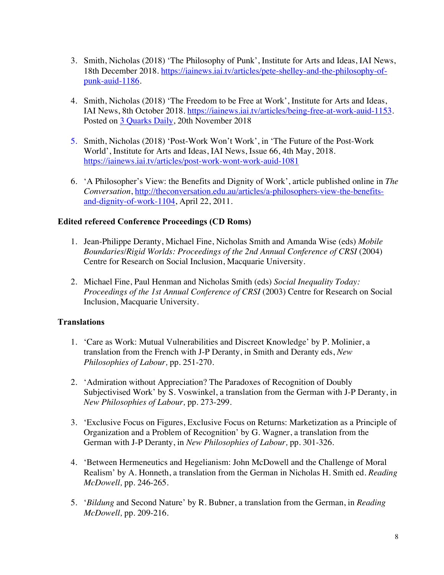- 3. Smith, Nicholas (2018) 'The Philosophy of Punk', Institute for Arts and Ideas, IAI News, 18th December 2018. https://iainews.iai.tv/articles/pete-shelley-and-the-philosophy-ofpunk-auid-1186.
- 4. Smith, Nicholas (2018) 'The Freedom to be Free at Work', Institute for Arts and Ideas, IAI News, 8th October 2018. https://iainews.iai.tv/articles/being-free-at-work-auid-1153. Posted on 3 Quarks Daily, 20th November 2018
- 5. Smith, Nicholas (2018) 'Post-Work Won't Work', in 'The Future of the Post-Work World', Institute for Arts and Ideas, IAI News, Issue 66, 4th May, 2018. https://iainews.iai.tv/articles/post-work-wont-work-auid-1081
- 6. 'A Philosopher's View: the Benefits and Dignity of Work', article published online in *The Conversation*, http://theconversation.edu.au/articles/a-philosophers-view-the-benefitsand-dignity-of-work-1104, April 22, 2011.

# **Edited refereed Conference Proceedings (CD Roms)**

- 1. Jean-Philippe Deranty, Michael Fine, Nicholas Smith and Amanda Wise (eds) *Mobile Boundaries/Rigid Worlds: Proceedings of the 2nd Annual Conference of CRSI* (2004) Centre for Research on Social Inclusion, Macquarie University.
- 2. Michael Fine, Paul Henman and Nicholas Smith (eds) *Social Inequality Today: Proceedings of the 1st Annual Conference of CRSI* (2003) Centre for Research on Social Inclusion, Macquarie University.

# **Translations**

- 1. 'Care as Work: Mutual Vulnerabilities and Discreet Knowledge' by P. Molinier, a translation from the French with J-P Deranty, in Smith and Deranty eds, *New Philosophies of Labour,* pp. 251-270.
- 2. 'Admiration without Appreciation? The Paradoxes of Recognition of Doubly Subjectivised Work' by S. Voswinkel, a translation from the German with J-P Deranty, in *New Philosophies of Labour,* pp. 273-299.
- 3. 'Exclusive Focus on Figures, Exclusive Focus on Returns: Marketization as a Principle of Organization and a Problem of Recognition' by G. Wagner, a translation from the German with J-P Deranty, in *New Philosophies of Labour,* pp. 301-326.
- 4. 'Between Hermeneutics and Hegelianism: John McDowell and the Challenge of Moral Realism' by A. Honneth, a translation from the German in Nicholas H. Smith ed. *Reading McDowell,* pp. 246-265.
- 5. '*Bildung* and Second Nature' by R. Bubner, a translation from the German, in *Reading McDowell,* pp. 209-216.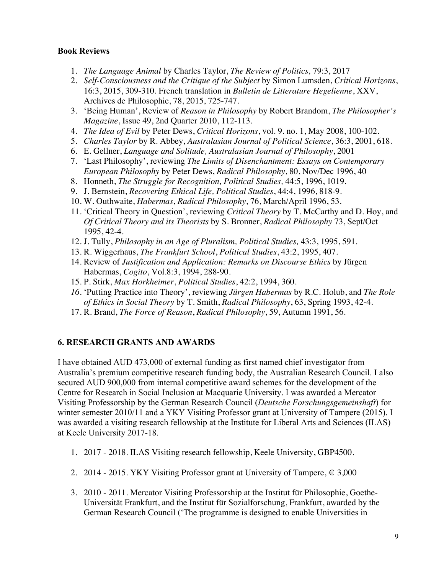## **Book Reviews**

- 1. *The Language Animal* by Charles Taylor, *The Review of Politics,* 79:3, 2017
- 2. *Self-Consciousness and the Critique of the Subject* by Simon Lumsden, *Critical Horizons*, 16:3, 2015, 309-310. French translation in *Bulletin de Litterature Hegelienne*, XXV, Archives de Philosophie, 78, 2015, 725-747.
- 3. 'Being Human', Review of *Reason in Philosophy* by Robert Brandom, *The Philosopher's Magazine*, Issue 49, 2nd Quarter 2010, 112-113.
- 4. *The Idea of Evil* by Peter Dews, *Critical Horizons*, vol. 9. no. 1, May 2008, 100-102.
- 5. *Charles Taylor* by R. Abbey, *Australasian Journal of Political Science*, 36:3, 2001, 618.
- 6. E. Gellner, *Language and Solitude, Australasian Journal of Philosophy*, 2001
- 7. 'Last Philosophy', reviewing *The Limits of Disenchantment: Essays on Contemporary European Philosophy* by Peter Dews, *Radical Philosophy*, 80, Nov/Dec 1996, 40
- 8. Honneth, *The Struggle for Recognition, Political Studies,* 44:5, 1996, 1019.
- 9. J. Bernstein, *Recovering Ethical Life, Political Studies*, 44:4, 1996, 818-9.
- 10. W. Outhwaite, *Habermas*, *Radical Philosophy*, 76, March/April 1996, 53.
- 11. 'Critical Theory in Question', reviewing *Critical Theory* by T. McCarthy and D. Hoy, and *Of Critical Theory and its Theorists* by S. Bronner, *Radical Philosophy* 73, Sept/Oct 1995, 42-4.
- 12. J. Tully, *Philosophy in an Age of Pluralism, Political Studies,* 43:3, 1995, 591.
- 13. R. Wiggerhaus, *The Frankfurt School*, *Political Studies*, 43:2, 1995, 407.
- 14. Review of *Justification and Application: Remarks on Discourse Ethics* by Jürgen Habermas, *Cogito*, Vol.8:3, 1994, 288-90.
- 15. P. Stirk, *Max Horkheimer*, *Political Studies*, 42:2, 1994, 360.
- *16.* 'Putting Practice into Theory', reviewing *Jürgen Habermas* by R.C. Holub, and *The Role of Ethics in Social Theory* by T. Smith, *Radical Philosophy*, 63, Spring 1993, 42-4.
- 17. R. Brand, *The Force of Reason*, *Radical Philosophy*, 59, Autumn 1991, 56.

## **6. RESEARCH GRANTS AND AWARDS**

I have obtained AUD 473,000 of external funding as first named chief investigator from Australia's premium competitive research funding body, the Australian Research Council. I also secured AUD 900,000 from internal competitive award schemes for the development of the Centre for Research in Social Inclusion at Macquarie University. I was awarded a Mercator Visiting Professorship by the German Research Council (*Deutsche Forschungsgemeinshaft*) for winter semester 2010/11 and a YKY Visiting Professor grant at University of Tampere (2015). I was awarded a visiting research fellowship at the Institute for Liberal Arts and Sciences (ILAS) at Keele University 2017-18.

- 1. 2017 2018. ILAS Visiting research fellowship, Keele University, GBP4500.
- 2. 2014 2015. YKY Visiting Professor grant at University of Tampere,  $\in$  3,000
- 3. 2010 2011. Mercator Visiting Professorship at the Institut für Philosophie, Goethe-Universität Frankfurt, and the Institut für Sozialforschung, Frankfurt, awarded by the German Research Council ('The programme is designed to enable Universities in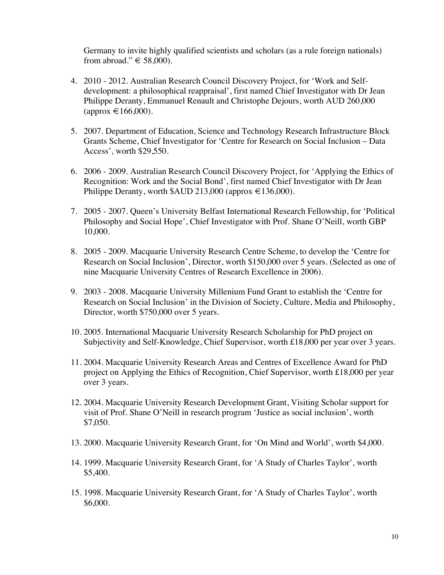Germany to invite highly qualified scientists and scholars (as a rule foreign nationals) from abroad."  $\in$  58,000).

- 4. 2010 2012. Australian Research Council Discovery Project, for 'Work and Selfdevelopment: a philosophical reappraisal', first named Chief Investigator with Dr Jean Philippe Deranty, Emmanuel Renault and Christophe Dejours, worth AUD 260,000  $(approx \in 166,000$ ).
- 5. 2007. Department of Education, Science and Technology Research Infrastructure Block Grants Scheme, Chief Investigator for 'Centre for Research on Social Inclusion – Data Access', worth \$29,550.
- 6. 2006 2009. Australian Research Council Discovery Project, for 'Applying the Ethics of Recognition: Work and the Social Bond', first named Chief Investigator with Dr Jean Philippe Deranty, worth \$AUD 213,000 (approx €136,000).
- 7. 2005 2007. Queen's University Belfast International Research Fellowship, for 'Political Philosophy and Social Hope', Chief Investigator with Prof. Shane O'Neill, worth GBP 10,000.
- 8. 2005 2009. Macquarie University Research Centre Scheme, to develop the 'Centre for Research on Social Inclusion', Director, worth \$150,000 over 5 years. (Selected as one of nine Macquarie University Centres of Research Excellence in 2006).
- 9. 2003 2008. Macquarie University Millenium Fund Grant to establish the 'Centre for Research on Social Inclusion' in the Division of Society, Culture, Media and Philosophy, Director, worth \$750,000 over 5 years.
- 10. 2005. International Macquarie University Research Scholarship for PhD project on Subjectivity and Self-Knowledge, Chief Supervisor, worth £18,000 per year over 3 years.
- 11. 2004. Macquarie University Research Areas and Centres of Excellence Award for PhD project on Applying the Ethics of Recognition, Chief Supervisor, worth £18,000 per year over 3 years.
- 12. 2004. Macquarie University Research Development Grant, Visiting Scholar support for visit of Prof. Shane O'Neill in research program 'Justice as social inclusion', worth \$7,050.
- 13. 2000. Macquarie University Research Grant, for 'On Mind and World', worth \$4,000.
- 14. 1999. Macquarie University Research Grant, for 'A Study of Charles Taylor', worth \$5,400.
- 15. 1998. Macquarie University Research Grant, for 'A Study of Charles Taylor', worth \$6,000.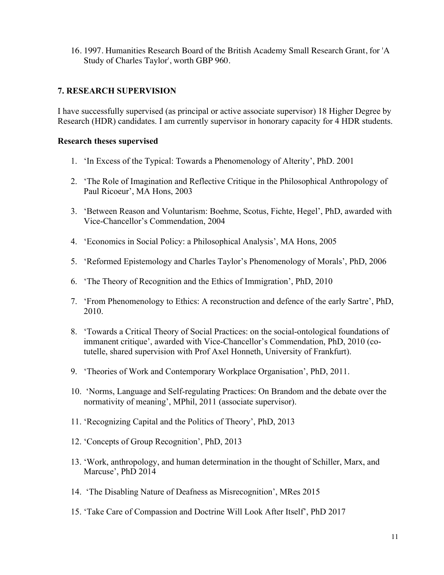16. 1997. Humanities Research Board of the British Academy Small Research Grant, for 'A Study of Charles Taylor', worth GBP 960.

# **7. RESEARCH SUPERVISION**

I have successfully supervised (as principal or active associate supervisor) 18 Higher Degree by Research (HDR) candidates. I am currently supervisor in honorary capacity for 4 HDR students.

#### **Research theses supervised**

- 1. 'In Excess of the Typical: Towards a Phenomenology of Alterity', PhD. 2001
- 2. 'The Role of Imagination and Reflective Critique in the Philosophical Anthropology of Paul Ricoeur', MA Hons, 2003
- 3. 'Between Reason and Voluntarism: Boehme, Scotus, Fichte, Hegel', PhD, awarded with Vice-Chancellor's Commendation, 2004
- 4. 'Economics in Social Policy: a Philosophical Analysis', MA Hons, 2005
- 5. 'Reformed Epistemology and Charles Taylor's Phenomenology of Morals', PhD, 2006
- 6. 'The Theory of Recognition and the Ethics of Immigration', PhD, 2010
- 7. 'From Phenomenology to Ethics: A reconstruction and defence of the early Sartre', PhD, 2010.
- 8. 'Towards a Critical Theory of Social Practices: on the social-ontological foundations of immanent critique', awarded with Vice-Chancellor's Commendation, PhD, 2010 (cotutelle, shared supervision with Prof Axel Honneth, University of Frankfurt).
- 9. 'Theories of Work and Contemporary Workplace Organisation', PhD, 2011.
- 10. 'Norms, Language and Self-regulating Practices: On Brandom and the debate over the normativity of meaning', MPhil, 2011 (associate supervisor).
- 11. 'Recognizing Capital and the Politics of Theory', PhD, 2013
- 12. 'Concepts of Group Recognition', PhD, 2013
- 13. 'Work, anthropology, and human determination in the thought of Schiller, Marx, and Marcuse', PhD 2014
- 14. 'The Disabling Nature of Deafness as Misrecognition', MRes 2015
- 15. 'Take Care of Compassion and Doctrine Will Look After Itself', PhD 2017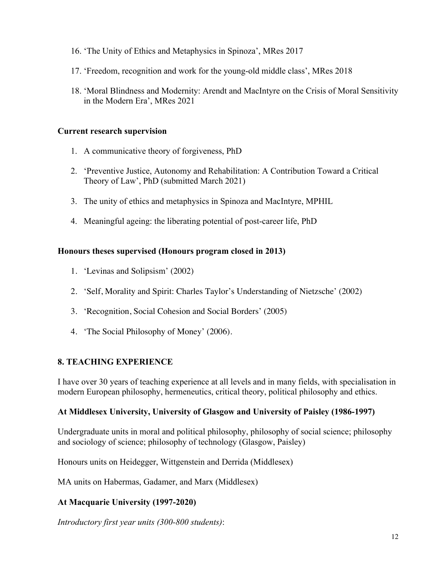- 16. 'The Unity of Ethics and Metaphysics in Spinoza', MRes 2017
- 17. 'Freedom, recognition and work for the young-old middle class', MRes 2018
- 18. 'Moral Blindness and Modernity: Arendt and MacIntyre on the Crisis of Moral Sensitivity in the Modern Era', MRes 2021

## **Current research supervision**

- 1. A communicative theory of forgiveness, PhD
- 2. 'Preventive Justice, Autonomy and Rehabilitation: A Contribution Toward a Critical Theory of Law', PhD (submitted March 2021)
- 3. The unity of ethics and metaphysics in Spinoza and MacIntyre, MPHIL
- 4. Meaningful ageing: the liberating potential of post-career life, PhD

## **Honours theses supervised (Honours program closed in 2013)**

- 1. 'Levinas and Solipsism' (2002)
- 2. 'Self, Morality and Spirit: Charles Taylor's Understanding of Nietzsche' (2002)
- 3. 'Recognition, Social Cohesion and Social Borders' (2005)
- 4. 'The Social Philosophy of Money' (2006).

# **8. TEACHING EXPERIENCE**

I have over 30 years of teaching experience at all levels and in many fields, with specialisation in modern European philosophy, hermeneutics, critical theory, political philosophy and ethics.

# **At Middlesex University, University of Glasgow and University of Paisley (1986-1997)**

Undergraduate units in moral and political philosophy, philosophy of social science; philosophy and sociology of science; philosophy of technology (Glasgow, Paisley)

Honours units on Heidegger, Wittgenstein and Derrida (Middlesex)

MA units on Habermas, Gadamer, and Marx (Middlesex)

# **At Macquarie University (1997-2020)**

*Introductory first year units (300-800 students)*: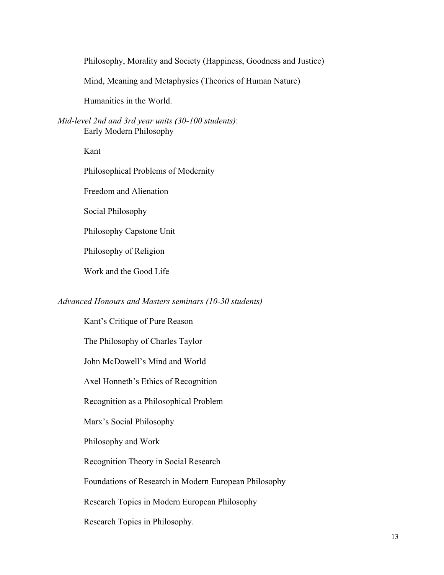Philosophy, Morality and Society (Happiness, Goodness and Justice)

Mind, Meaning and Metaphysics (Theories of Human Nature)

Humanities in the World.

*Mid-level 2nd and 3rd year units (30-100 students)*: Early Modern Philosophy

Kant

Philosophical Problems of Modernity

Freedom and Alienation

Social Philosophy

Philosophy Capstone Unit

Philosophy of Religion

Work and the Good Life

#### *Advanced Honours and Masters seminars (10-30 students)*

Kant's Critique of Pure Reason The Philosophy of Charles Taylor John McDowell's Mind and World Axel Honneth's Ethics of Recognition Recognition as a Philosophical Problem Marx's Social Philosophy Philosophy and Work Recognition Theory in Social Research Foundations of Research in Modern European Philosophy Research Topics in Modern European Philosophy Research Topics in Philosophy.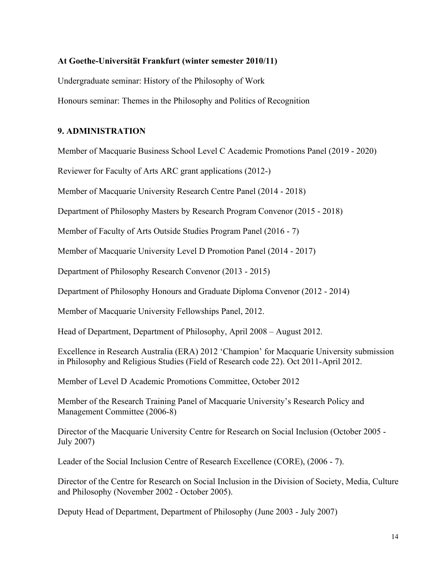#### **At Goethe-Universität Frankfurt (winter semester 2010/11)**

Undergraduate seminar: History of the Philosophy of Work

Honours seminar: Themes in the Philosophy and Politics of Recognition

#### **9. ADMINISTRATION**

Member of Macquarie Business School Level C Academic Promotions Panel (2019 - 2020)

Reviewer for Faculty of Arts ARC grant applications (2012-)

Member of Macquarie University Research Centre Panel (2014 - 2018)

Department of Philosophy Masters by Research Program Convenor (2015 - 2018)

Member of Faculty of Arts Outside Studies Program Panel (2016 - 7)

Member of Macquarie University Level D Promotion Panel (2014 - 2017)

Department of Philosophy Research Convenor (2013 - 2015)

Department of Philosophy Honours and Graduate Diploma Convenor (2012 - 2014)

Member of Macquarie University Fellowships Panel, 2012.

Head of Department, Department of Philosophy, April 2008 – August 2012.

Excellence in Research Australia (ERA) 2012 'Champion' for Macquarie University submission in Philosophy and Religious Studies (Field of Research code 22). Oct 2011-April 2012.

Member of Level D Academic Promotions Committee, October 2012

Member of the Research Training Panel of Macquarie University's Research Policy and Management Committee (2006-8)

Director of the Macquarie University Centre for Research on Social Inclusion (October 2005 - July 2007)

Leader of the Social Inclusion Centre of Research Excellence (CORE), (2006 - 7).

Director of the Centre for Research on Social Inclusion in the Division of Society, Media, Culture and Philosophy (November 2002 - October 2005).

Deputy Head of Department, Department of Philosophy (June 2003 - July 2007)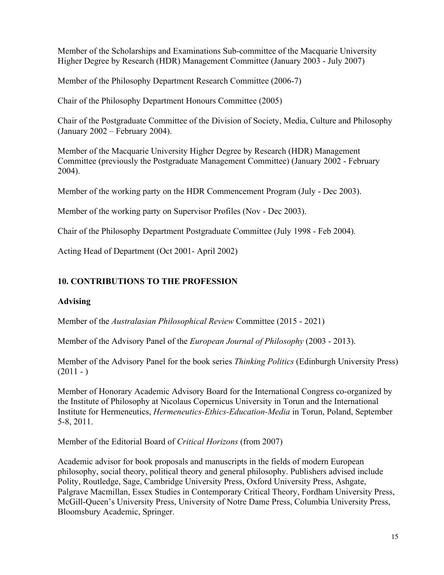Member of the Scholarships and Examinations Sub-committee of the Macquarie University Higher Degree by Research (HDR) Management Committee (January 2003 - July 2007)

Member of the Philosophy Department Research Committee (2006-7)

Chair of the Philosophy Department Honours Committee (2005)

Chair of the Postgraduate Committee of the Division of Society, Media, Culture and Philosophy (January 2002 – February 2004).

Member of the Macquarie University Higher Degree by Research (HDR) Management Committee (previously the Postgraduate Management Committee) (January 2002 - February 2004).

Member of the working party on the HDR Commencement Program (July - Dec 2003).

Member of the working party on Supervisor Profiles (Nov - Dec 2003).

Chair of the Philosophy Department Postgraduate Committee (July 1998 - Feb 2004).

Acting Head of Department (Oct 2001- April 2002)

# **10. CONTRIBUTIONS TO THE PROFESSION**

# **Advising**

Member of the *Australasian Philosophical Review* Committee (2015 - 2021)

Member of the Advisory Panel of the *European Journal of Philosophy* (2003 - 2013).

Member of the Advisory Panel for the book series *Thinking Politics* (Edinburgh University Press)  $(2011 - )$ 

Member of Honorary Academic Advisory Board for the International Congress co-organized by the Institute of Philosophy at Nicolaus Copernicus University in Torun and the International Institute for Hermeneutics, *Hermeneutics-Ethics-Education-Media* in Torun, Poland, September 5-8, 2011.

Member of the Editorial Board of *Critical Horizons* (from 2007)

Academic advisor for book proposals and manuscripts in the fields of modern European philosophy, social theory, political theory and general philosophy. Publishers advised include Polity, Routledge, Sage, Cambridge University Press, Oxford University Press, Ashgate, Palgrave Macmillan, Essex Studies in Contemporary Critical Theory, Fordham University Press, McGill-Queen's University Press, University of Notre Dame Press, Columbia University Press, Bloomsbury Academic, Springer.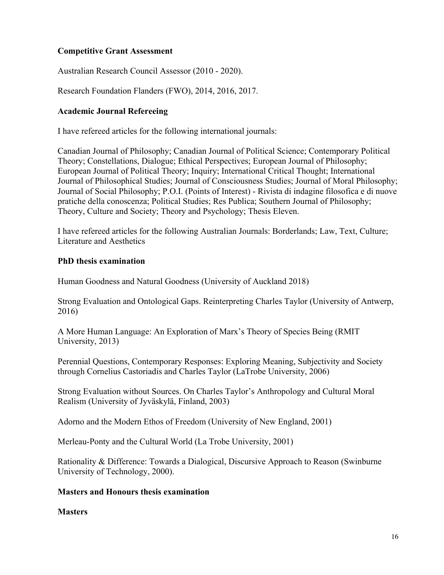# **Competitive Grant Assessment**

Australian Research Council Assessor (2010 - 2020).

Research Foundation Flanders (FWO), 2014, 2016, 2017.

## **Academic Journal Refereeing**

I have refereed articles for the following international journals:

Canadian Journal of Philosophy; Canadian Journal of Political Science; Contemporary Political Theory; Constellations, Dialogue; Ethical Perspectives; European Journal of Philosophy; European Journal of Political Theory; Inquiry; International Critical Thought; International Journal of Philosophical Studies; Journal of Consciousness Studies; Journal of Moral Philosophy; Journal of Social Philosophy; P.O.I. (Points of Interest) - Rivista di indagine filosofica e di nuove pratiche della conoscenza; Political Studies; Res Publica; Southern Journal of Philosophy; Theory, Culture and Society; Theory and Psychology; Thesis Eleven.

I have refereed articles for the following Australian Journals: Borderlands; Law, Text, Culture; Literature and Aesthetics

## **PhD thesis examination**

Human Goodness and Natural Goodness (University of Auckland 2018)

Strong Evaluation and Ontological Gaps. Reinterpreting Charles Taylor (University of Antwerp, 2016)

A More Human Language: An Exploration of Marx's Theory of Species Being (RMIT University, 2013)

Perennial Questions, Contemporary Responses: Exploring Meaning, Subjectivity and Society through Cornelius Castoriadis and Charles Taylor (LaTrobe University, 2006)

Strong Evaluation without Sources. On Charles Taylor's Anthropology and Cultural Moral Realism (University of Jyväskylä, Finland, 2003)

Adorno and the Modern Ethos of Freedom (University of New England, 2001)

Merleau-Ponty and the Cultural World (La Trobe University, 2001)

Rationality & Difference: Towards a Dialogical, Discursive Approach to Reason (Swinburne University of Technology, 2000).

## **Masters and Honours thesis examination**

## **Masters**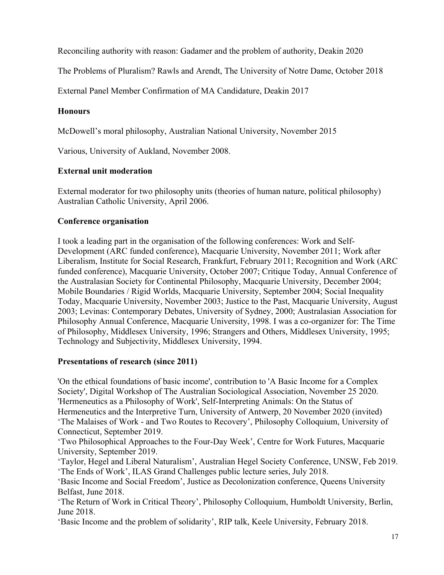Reconciling authority with reason: Gadamer and the problem of authority, Deakin 2020

The Problems of Pluralism? Rawls and Arendt, The University of Notre Dame, October 2018

External Panel Member Confirmation of MA Candidature, Deakin 2017

# **Honours**

McDowell's moral philosophy, Australian National University, November 2015

Various, University of Aukland, November 2008.

# **External unit moderation**

External moderator for two philosophy units (theories of human nature, political philosophy) Australian Catholic University, April 2006.

# **Conference organisation**

I took a leading part in the organisation of the following conferences: Work and Self-Development (ARC funded conference), Macquarie University, November 2011; Work after Liberalism, Institute for Social Research, Frankfurt, February 2011; Recognition and Work (ARC funded conference), Macquarie University, October 2007; Critique Today, Annual Conference of the Australasian Society for Continental Philosophy, Macquarie University, December 2004; Mobile Boundaries / Rigid Worlds, Macquarie University, September 2004; Social Inequality Today, Macquarie University, November 2003; Justice to the Past, Macquarie University, August 2003; Levinas: Contemporary Debates, University of Sydney, 2000; Australasian Association for Philosophy Annual Conference, Macquarie University, 1998. I was a co-organizer for: The Time of Philosophy, Middlesex University, 1996; Strangers and Others, Middlesex University, 1995; Technology and Subjectivity, Middlesex University, 1994.

# **Presentations of research (since 2011)**

'On the ethical foundations of basic income', contribution to 'A Basic Income for a Complex Society', Digital Workshop of The Australian Sociological Association, November 25 2020. 'Hermeneutics as a Philosophy of Work', Self-Interpreting Animals: On the Status of Hermeneutics and the Interpretive Turn, University of Antwerp, 20 November 2020 (invited) 'The Malaises of Work - and Two Routes to Recovery', Philosophy Colloquium, University of Connecticut, September 2019.

'Two Philosophical Approaches to the Four-Day Week', Centre for Work Futures, Macquarie University, September 2019.

'Taylor, Hegel and Liberal Naturalism', Australian Hegel Society Conference, UNSW, Feb 2019. 'The Ends of Work', ILAS Grand Challenges public lecture series, July 2018.

'Basic Income and Social Freedom', Justice as Decolonization conference, Queens University Belfast, June 2018.

'The Return of Work in Critical Theory', Philosophy Colloquium, Humboldt University, Berlin, June 2018.

'Basic Income and the problem of solidarity', RIP talk, Keele University, February 2018.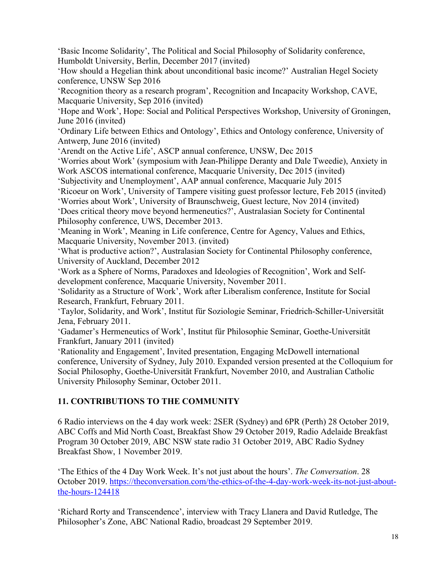'Basic Income Solidarity', The Political and Social Philosophy of Solidarity conference, Humboldt University, Berlin, December 2017 (invited)

'How should a Hegelian think about unconditional basic income?' Australian Hegel Society conference, UNSW Sep 2016

'Recognition theory as a research program', Recognition and Incapacity Workshop, CAVE, Macquarie University, Sep 2016 (invited)

'Hope and Work', Hope: Social and Political Perspectives Workshop, University of Groningen, June 2016 (invited)

'Ordinary Life between Ethics and Ontology', Ethics and Ontology conference, University of Antwerp, June 2016 (invited)

'Arendt on the Active Life', ASCP annual conference, UNSW, Dec 2015

'Worries about Work' (symposium with Jean-Philippe Deranty and Dale Tweedie), Anxiety in Work ASCOS international conference, Macquarie University, Dec 2015 (invited)

'Subjectivity and Unemployment', AAP annual conference, Macquarie July 2015

'Ricoeur on Work', University of Tampere visiting guest professor lecture, Feb 2015 (invited)

'Worries about Work', University of Braunschweig, Guest lecture, Nov 2014 (invited)

'Does critical theory move beyond hermeneutics?', Australasian Society for Continental Philosophy conference, UWS, December 2013.

'Meaning in Work', Meaning in Life conference, Centre for Agency, Values and Ethics, Macquarie University, November 2013. (invited)

'What is productive action?', Australasian Society for Continental Philosophy conference, University of Auckland, December 2012

'Work as a Sphere of Norms, Paradoxes and Ideologies of Recognition', Work and Selfdevelopment conference, Macquarie University, November 2011.

'Solidarity as a Structure of Work', Work after Liberalism conference, Institute for Social Research, Frankfurt, February 2011.

'Taylor, Solidarity, and Work', Institut für Soziologie Seminar, Friedrich-Schiller-Universität Jena, February 2011.

'Gadamer's Hermeneutics of Work', Institut für Philosophie Seminar, Goethe-Universität Frankfurt, January 2011 (invited)

'Rationality and Engagement', Invited presentation, Engaging McDowell international conference, University of Sydney, July 2010. Expanded version presented at the Colloquium for Social Philosophy, Goethe-Universität Frankfurt, November 2010, and Australian Catholic University Philosophy Seminar, October 2011.

# **11. CONTRIBUTIONS TO THE COMMUNITY**

6 Radio interviews on the 4 day work week: 2SER (Sydney) and 6PR (Perth) 28 October 2019, ABC Coffs and Mid North Coast, Breakfast Show 29 October 2019, Radio Adelaide Breakfast Program 30 October 2019, ABC NSW state radio 31 October 2019, ABC Radio Sydney Breakfast Show, 1 November 2019.

'The Ethics of the 4 Day Work Week. It's not just about the hours'. *The Conversation*. 28 October 2019. https://theconversation.com/the-ethics-of-the-4-day-work-week-its-not-just-aboutthe-hours-124418

'Richard Rorty and Transcendence', interview with Tracy Llanera and David Rutledge, The Philosopher's Zone, ABC National Radio, broadcast 29 September 2019.